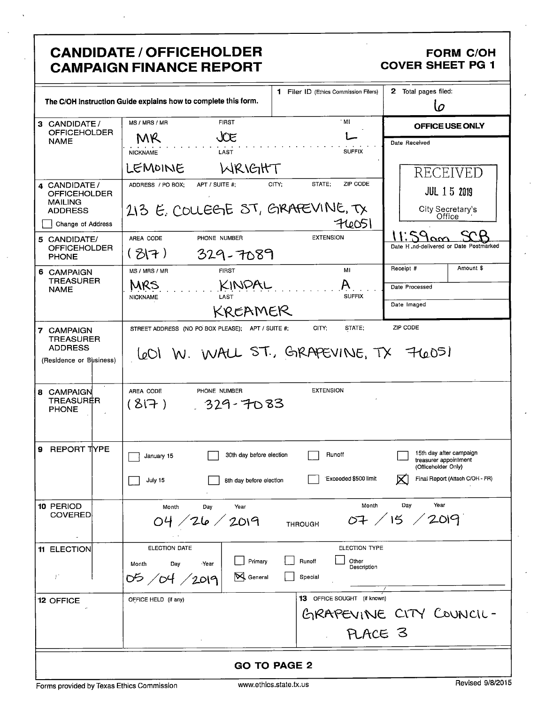|                                                                                                         | <b>CANDIDATE / OFFICEHOLDER</b><br><b>CAMPAIGN FINANCE REPORT</b>                          |                                           | <b>FORM C/OH</b><br><b>COVER SHEET PG 1</b>                                                                            |
|---------------------------------------------------------------------------------------------------------|--------------------------------------------------------------------------------------------|-------------------------------------------|------------------------------------------------------------------------------------------------------------------------|
| 1 Filer ID (Ethics Commission Filers)<br>The C/OH Instruction Guide explains how to complete this form. |                                                                                            | 2 Total pages filed:<br>lo                |                                                                                                                        |
| 3 CANDIDATE /<br><b>OFFICEHOLDER</b>                                                                    | <b>FIRST</b><br>MS / MRS / MR                                                              | $^{\circ}$ MI                             | OFFICE USE ONLY                                                                                                        |
| <b>NAME</b>                                                                                             | JŒ<br>MR<br>LAST<br><b>NICKNAME</b><br>LEMOINE<br>WRIGHT                                   | <b>SUFFIX</b>                             | Date Received<br><b>RECEIVED</b>                                                                                       |
| 4 CANDIDATE /<br><b>OFFICEHOLDER</b><br><b>MAILING</b><br><b>ADDRESS</b>                                | ADDRESS / PO BOX;<br>APT / SUITE #:<br>213 E. COLLEGE ST, GRAFEVINE, TX                    | ZIP CODE<br>STATE;<br>CITY:               | <b>JUL 15 2019</b><br>City Secretary's<br>Office                                                                       |
| Change of Address                                                                                       | AREA CODE<br>PHONE NUMBER                                                                  | 74051<br><b>EXTENSION</b>                 |                                                                                                                        |
| 5 CANDIDATE/<br><b>OFFICEHOLDER</b><br><b>PHONE</b>                                                     | (37)<br>329-7089                                                                           |                                           | Date H .nd-delivered or Date Postmarked                                                                                |
| 6 CAMPAIGN                                                                                              | <b>FIRST</b><br>MS / MRS / MR                                                              | MI                                        | Amount \$<br>Receipt #                                                                                                 |
| <b>TREASURER</b><br><b>NAME</b>                                                                         | KINDAL<br>MRS<br>LAST<br><b>NICKNAME</b>                                                   | <b>SUFFIX</b>                             | Date Processed<br>Date Imaged                                                                                          |
|                                                                                                         | KREAMER                                                                                    |                                           |                                                                                                                        |
| 7 CAMPAIGN<br><b>TREASURER</b><br><b>ADDRESS</b><br>(Residence or Business)                             | STREET ADDRESS (NO PO BOX PLEASE); APT / SUITE #;<br>LeOI W. WALL ST., GRAPEVINE, TX 76051 | CITY;<br>STATE;                           | ZIP CODE                                                                                                               |
| 8 CAMPAIGN<br>TREASURER<br><b>PHONE</b>                                                                 | AREA CODE<br>PHONE NUMBER<br>(817)<br>329-7083                                             | <b>EXTENSION</b>                          |                                                                                                                        |
| 9<br>REPORT TYPE                                                                                        | 30th day before election<br>January 15<br>July 15<br>8th day before election               | Runoff<br>Exceeded \$500 limit            | 15th day after campaign<br>treasurer appointment<br>(Officeholder Only)<br>Final Report (Attach C/OH - FR)<br>$\times$ |
| 10 PERIOD<br><b>COVERED</b>                                                                             | Year<br>Month<br>Day<br>26 / 2019                                                          | Month<br><b>THROUGH</b>                   | Year<br>Day<br>07 / 15 / 2019                                                                                          |
| 11 ELECTION                                                                                             | <b>ELECTION DATE</b>                                                                       | <b>ELECTION TYPE</b>                      |                                                                                                                        |
| $\bar{T}$                                                                                               | Primary<br>Month<br>Day<br>Year<br>N General<br>05/04/2019                                 | Runoff<br>Other<br>Description<br>Special |                                                                                                                        |
| <b>12 OFFICE</b>                                                                                        | OFFICE HELD (if any)                                                                       | 13 OFFICE SOUGHT (if known)               |                                                                                                                        |
|                                                                                                         |                                                                                            | PLACE 3                                   | GRAPEVINE CITY COUNCIL-                                                                                                |
| <b>GO TO PAGE 2</b>                                                                                     |                                                                                            |                                           |                                                                                                                        |

Forms provided by Texas Ethics Commission

 $\ddot{\phantom{a}}$ 

 $\ddot{\phantom{0}}$ 

l,

l,

www.ethics.state.tx.us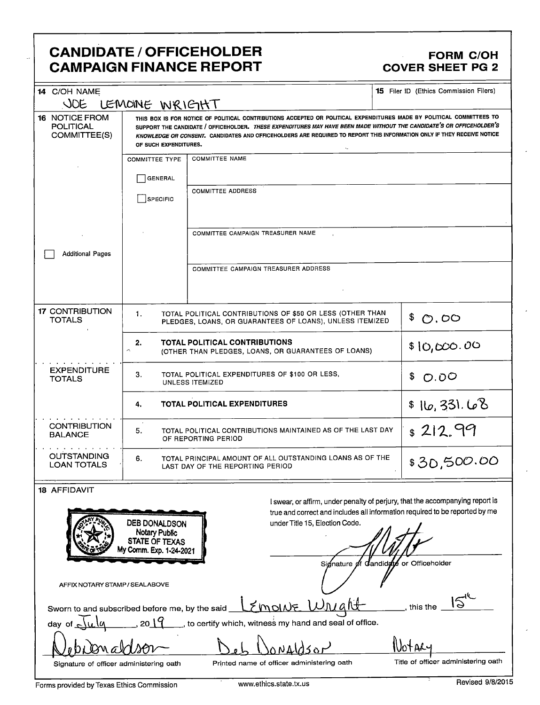## **CANDIDATE / OFFICEHOLDER CAMPAIGN FINANCE REPORT**

### **FORM C/OH COVER SHEET PG 2**

| <b>15</b> Filer ID (Ethics Commission Filers)<br>14 C/OH NAME<br>JOE<br>LEMOINE WRIGHT |                                                                                                                                                                                                                                                                                                                                                                                                  |                                                                                             |                                                                                                                                                                                 |  |
|----------------------------------------------------------------------------------------|--------------------------------------------------------------------------------------------------------------------------------------------------------------------------------------------------------------------------------------------------------------------------------------------------------------------------------------------------------------------------------------------------|---------------------------------------------------------------------------------------------|---------------------------------------------------------------------------------------------------------------------------------------------------------------------------------|--|
| <b>16 NOTICE FROM</b><br><b>POLITICAL</b><br>COMMITTEE(S)                              | THIS BOX IS FOR NOTICE OF POLITICAL CONTRIBUTIONS ACCEPTED OR POLITICAL EXPENDITURES MADE BY POLITICAL COMMITTEES TO<br>SUPPORT THE CANDIDATE / OFFICEHOLDER. THESE EXPENDITURES MAY HAVE BEEN MADE WITHOUT THE CANDIDATE'S OR OFFICEHOLDER'S<br>KNOWLEDGE OR CONSENT. CANDIDATES AND OFFICEHOLDERS ARE REQUIRED TO REPORT THIS INFORMATION ONLY IF THEY RECEIVE NOTICE<br>OF SUCH EXPENDITURES. |                                                                                             |                                                                                                                                                                                 |  |
|                                                                                        | <b>COMMITTEE TYPE</b><br><b>GENERAL</b><br>SPECIFIC                                                                                                                                                                                                                                                                                                                                              | <b>COMMITTEE NAME</b><br><b>COMMITTEE ADDRESS</b>                                           |                                                                                                                                                                                 |  |
| <b>Additional Pages</b>                                                                |                                                                                                                                                                                                                                                                                                                                                                                                  | COMMITTEE CAMPAIGN TREASURER NAME                                                           |                                                                                                                                                                                 |  |
|                                                                                        |                                                                                                                                                                                                                                                                                                                                                                                                  | COMMITTEE CAMPAIGN TREASURER ADDRESS                                                        |                                                                                                                                                                                 |  |
| <b>17 CONTRIBUTION</b><br><b>TOTALS</b>                                                | TOTAL POLITICAL CONTRIBUTIONS OF \$50 OR LESS (OTHER THAN<br>1.<br>\$<br>$\mathcal{O}$ . OO<br>PLEDGES, LOANS, OR GUARANTEES OF LOANS), UNLESS ITEMIZED                                                                                                                                                                                                                                          |                                                                                             |                                                                                                                                                                                 |  |
|                                                                                        | 2.<br>$\hat{\phantom{a}}$                                                                                                                                                                                                                                                                                                                                                                        | <b>TOTAL POLITICAL CONTRIBUTIONS</b><br>(OTHER THAN PLEDGES, LOANS, OR GUARANTEES OF LOANS) | \$10,000.00                                                                                                                                                                     |  |
| <b>EXPENDITURE</b><br><b>TOTALS</b>                                                    | З.<br>TOTAL POLITICAL EXPENDITURES OF \$100 OR LESS,<br>UNLESS ITEMIZED                                                                                                                                                                                                                                                                                                                          |                                                                                             | \$<br>O.00                                                                                                                                                                      |  |
|                                                                                        | <b>TOTAL POLITICAL EXPENDITURES</b><br>4.                                                                                                                                                                                                                                                                                                                                                        |                                                                                             | \$16,331.68                                                                                                                                                                     |  |
| <b>CONTRIBUTION</b><br><b>BALANCE</b>                                                  | $s$ 212.99<br>5.<br>TOTAL POLITICAL CONTRIBUTIONS MAINTAINED AS OF THE LAST DAY<br>OF REPORTING PERIOD                                                                                                                                                                                                                                                                                           |                                                                                             |                                                                                                                                                                                 |  |
| <b>OUTSTANDING</b><br><b>LOAN TOTALS</b>                                               | TOTAL PRINCIPAL AMOUNT OF ALL OUTSTANDING LOANS AS OF THE<br>6.<br>\$30,500.00<br>LAST DAY OF THE REPORTING PERIOD                                                                                                                                                                                                                                                                               |                                                                                             |                                                                                                                                                                                 |  |
| 18 AFFIDAVIT                                                                           | DEB DONALDSON<br>Notary Public<br>STATE OF TEXAS<br>My Comm. Exp. 1-24-2021                                                                                                                                                                                                                                                                                                                      | under Title 15, Election Code.<br>Sionatu                                                   | I swear, or affirm, under penalty of perjury, that the accompanying report is<br>true and correct and includes all information required to be reported by me<br>or Officeholder |  |

AFFIX NOTARY STAMP / SEALABOVE

| Sworn to and subscribed before me, by the said $\mathcal{L}$ molds $\mathcal{L}$ $\mathcal{L}$ |  |  |
|------------------------------------------------------------------------------------------------|--|--|
|                                                                                                |  |  |

, to certify which, witness my hand and seal of office. day of

oNAl a ∄รธเ Signature of officer administering oath

Printed name of officer administering oath

Title of officer administering oath

this the

Wotacy

Forms provided by Texas Ethics Commission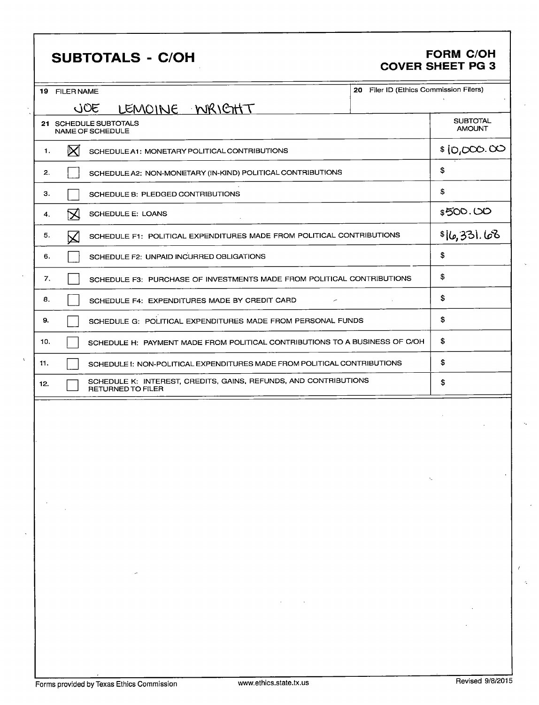## SUBTOTALS - C/OH FORM C/OH

# COVER SHEET PG 3

| 20 Filer ID (Ethics Commission Filers)<br>19 FILER NAME                                             |                                  |  |  |
|-----------------------------------------------------------------------------------------------------|----------------------------------|--|--|
| LEMOINE WRICHT<br>JOE                                                                               |                                  |  |  |
| 21 SCHEDULE SUBTOTALS<br>NAME OF SCHEDULE                                                           | <b>SUBTOTAL</b><br><b>AMOUNT</b> |  |  |
| $\boxtimes$<br>1.<br>SCHEDULE A1: MONETARY POLITICAL CONTRIBUTIONS                                  | \$10,000.00                      |  |  |
| SCHEDULE A2: NON-MONETARY (IN-KIND) POLITICAL CONTRIBUTIONS<br>2.                                   | \$                               |  |  |
| З.<br>SCHEDULE B: PLEDGED CONTRIBUTIONS                                                             | \$                               |  |  |
| ⋉<br>SCHEDULE E: LOANS<br>4.                                                                        | \$500.00                         |  |  |
| 5.<br>SCHEDULE F1: POLITICAL EXPENDITURES MADE FROM POLITICAL CONTRIBUTIONS<br>$\bm{\mathsf{K}}$    | \$16,331.68                      |  |  |
| SCHEDULE F2: UNPAID INCURRED OBLIGATIONS<br>6.                                                      | \$                               |  |  |
| 7.<br>SCHEDULE F3: PURCHASE OF INVESTMENTS MADE FROM POLITICAL CONTRIBUTIONS                        | \$                               |  |  |
| 8.<br>SCHEDULE F4: EXPENDITURES MADE BY CREDIT CARD<br>$\overline{\phantom{a}}$                     | \$                               |  |  |
| 9.<br>SCHEDULE G: POLITICAL EXPENDITURES MADE FROM PERSONAL FUNDS                                   | \$                               |  |  |
| 10.<br>SCHEDULE H: PAYMENT MADE FROM POLITICAL CONTRIBUTIONS TO A BUSINESS OF C/OH                  | \$                               |  |  |
| 11.<br>SCHEDULE I: NON-POLITICAL EXPENDITURES MADE FROM POLITICAL CONTRIBUTIONS                     | \$                               |  |  |
| SCHEDULE K: INTEREST, CREDITS, GAINS, REFUNDS, AND CONTRIBUTIONS<br>12.<br><b>RETURNED TO FILER</b> | \$                               |  |  |
|                                                                                                     |                                  |  |  |
|                                                                                                     |                                  |  |  |
|                                                                                                     |                                  |  |  |
|                                                                                                     |                                  |  |  |
|                                                                                                     |                                  |  |  |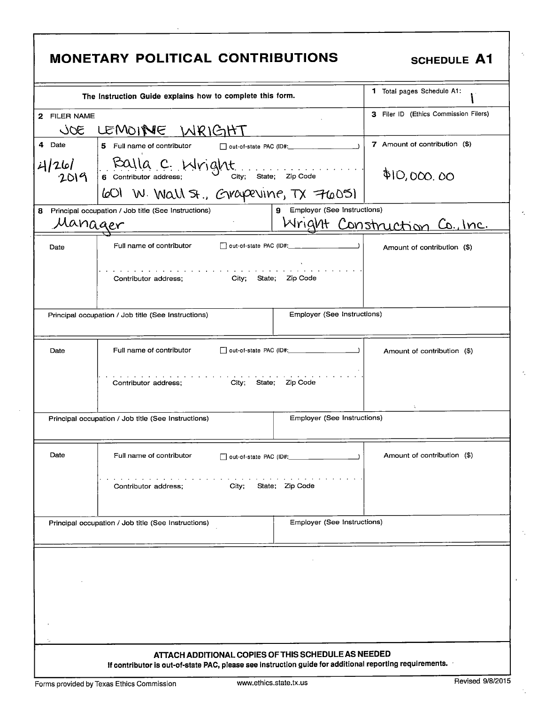|               | <b>MONETARY POLITICAL CONTRIBUTIONS</b>                                                                                                                |                               | <b>SCHEDULE A1</b>                    |
|---------------|--------------------------------------------------------------------------------------------------------------------------------------------------------|-------------------------------|---------------------------------------|
|               | The Instruction Guide explains how to complete this form.                                                                                              |                               | 1 Total pages Schedule A1:            |
| 2 FILER NAME  |                                                                                                                                                        |                               | 3 Filer ID (Ethics Commission Filers) |
| 30C           | LEMOINE WRIGHT                                                                                                                                         |                               |                                       |
| 4 Date        | 5 Full name of contributor                                                                                                                             |                               | 7 Amount of contribution (\$)         |
| 4/26/<br>2019 | $\left  \begin{array}{cc} \text{EAL}(a, c, \text{iv}) g \wedge t \\ \text{6\,\, continuous\,\, address;} \end{array} \right $ State; $zip\text{ Code}$ |                               | \$10,000.00                           |
|               | 601 W. Wall St., Grapevine, TX 76051                                                                                                                   |                               |                                       |
| 8             | Principal occupation / Job title (See Instructions)                                                                                                    | 9 Employer (See Instructions) |                                       |
| Manager       |                                                                                                                                                        |                               | Wright Construction Co., Inc.         |
| Date          | Full name of contributor                                                                                                                               |                               | Amount of contribution (\$)           |
|               | والمتحاوية والمتحال والمتحالة المتحالة المتحالة المتحالة والمتحالة المتحالة<br>Contributor address; City; State; Zip Code                              |                               |                                       |
|               | Principal occupation / Job title (See Instructions)                                                                                                    | Employer (See Instructions)   |                                       |
| Date          | Full name of contributor                                                                                                                               |                               | Amount of contribution (\$)           |
|               | City; State; Zip Code<br>Contributor address;                                                                                                          |                               | ÷                                     |
|               | Principal occupation / Job title (See Instructions)                                                                                                    | Employer (See Instructions)   |                                       |
|               |                                                                                                                                                        |                               |                                       |
| Date          | Full name of contributor                                                                                                                               | $\lambda$                     | Amount of contribution (\$)           |
|               | City; State; Zip Code<br>Contributor address;                                                                                                          |                               |                                       |
|               | Principal occupation / Job title (See Instructions)                                                                                                    | Employer (See Instructions)   |                                       |
|               |                                                                                                                                                        |                               |                                       |

k,

 $\gamma_{\rm c}$ 

÷,

÷.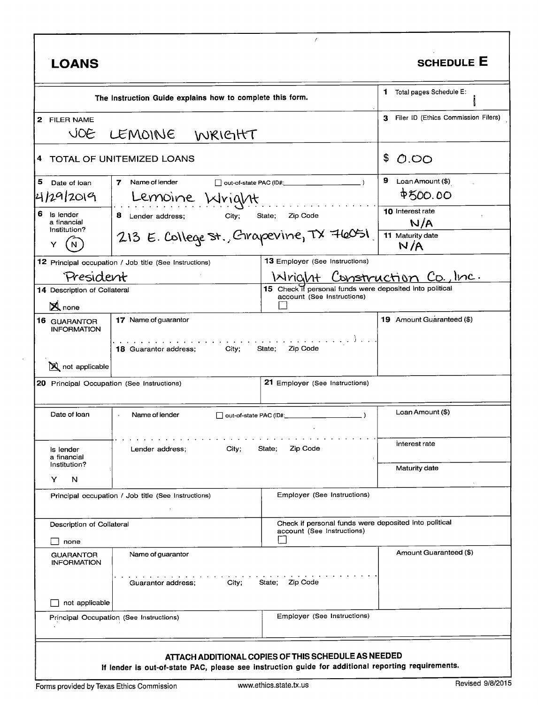| <b>LOANS</b>                                                          |                                                                                                    |                                                                                        | <b>SCHEDULE E</b>                     |
|-----------------------------------------------------------------------|----------------------------------------------------------------------------------------------------|----------------------------------------------------------------------------------------|---------------------------------------|
|                                                                       | The Instruction Guide explains how to complete this form.                                          |                                                                                        | 1 Total pages Schedule E:             |
| 2 FILER NAME<br>JOE                                                   | LEMOINE WRIGHT                                                                                     |                                                                                        | 3 Filer ID (Ethics Commission Filers) |
|                                                                       | 4 TOTAL OF UNITEMIZED LOANS                                                                        |                                                                                        |                                       |
| 5<br>Date of loan                                                     | Name of lender<br>7                                                                                |                                                                                        | 9.<br>Loan Amount (\$)                |
| 4/29/2019                                                             | Lemoine Wright                                                                                     |                                                                                        | <b>P500.00</b>                        |
| 6<br>Is lender<br>a financial                                         | 8<br>City;<br>Zip Code<br>Lender address;<br>State;                                                |                                                                                        | 10 Interest rate<br>N/A               |
|                                                                       | Institution?<br>213 E. College St., Grapevine, TX 76051                                            |                                                                                        | 11 Maturity date<br>N/A               |
|                                                                       | 12 Principal occupation / Job title (See Instructions)                                             | <b>13 Employer (See Instructions)</b>                                                  |                                       |
| President                                                             |                                                                                                    | IxIriclat                                                                              | Construction Co., Inc.                |
| 14 Description of Collateral<br>X none                                |                                                                                                    | 15 Check if personal funds were deposited into political<br>account (See Instructions) |                                       |
| <b>16 GUARANTOR</b><br><b>INFORMATION</b>                             | 17 Name of guarantor                                                                               |                                                                                        | 19 Amount Guaranteed (\$)             |
| <b>X</b> not applicable<br>20 Principal Occupation (See Instructions) | 18 Guarantor address;<br>City;                                                                     | Zip Code<br>State;<br>21 Employer (See Instructions)                                   |                                       |
| Date of loan                                                          | Name of lender<br>out-of-state PAC (ID#:                                                           |                                                                                        | Loan Amount (\$)                      |
| Is lender<br>a financial                                              | Zip Code<br>City;<br>State;<br>Lender address;                                                     |                                                                                        | Interest rate                         |
| Institution?<br>N<br>Y                                                |                                                                                                    |                                                                                        | Maturity date                         |
|                                                                       | Principal occupation / Job title (See Instructions)                                                | Employer (See Instructions)                                                            |                                       |
| Description of Collateral<br>none                                     |                                                                                                    | Check if personal funds were deposited into political<br>account (See Instructions)    |                                       |
| <b>GUARANTOR</b><br><b>INFORMATION</b>                                | Name of guarantor                                                                                  |                                                                                        | Amount Guaranteed (\$)                |
| not applicable                                                        | Guarantor address;<br>City;                                                                        | State; Zip Code                                                                        |                                       |
|                                                                       | Principal Occupation (See Instructions)                                                            | Employer (See Instructions)                                                            |                                       |
|                                                                       | If lender is out-of-state PAC, please see instruction guide for additional reporting requirements. | ATTACH ADDITIONAL COPIES OF THIS SCHEDULE AS NEEDED                                    |                                       |

 $\ddot{\phantom{a}}$